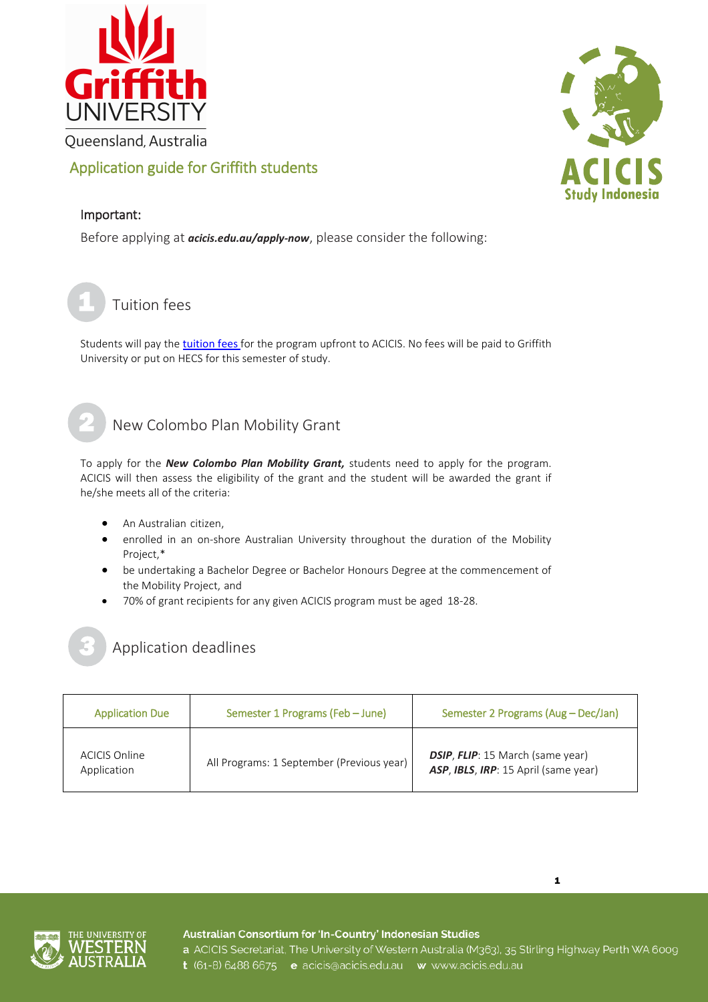

## Application guide for Griffith students

# Important:

1

Before applying at *[acicis.edu.au/apply-now](http://acicis.edu.au/apply-now)*, please consider the following:

Tuition fees

Students will pay the [tuition fees](http://www.acicis.edu.au/programs/semester/costs/) for the program upfront to ACICIS. No fees will be paid to Griffith University or put on HECS for this semester of study.

## New Colombo Plan Mobility Grant

To apply for the *[New Colombo Plan Mobility Grant,](http://www.acicis.edu.au/study-in-indonesia/financial-help/)* students need to apply for the program. ACICIS will then assess the eligibility of the grant and the student will be awarded the grant if he/she meets all of the criteria:

- An Australian citizen,
- enrolled in an on-shore Australian University throughout the duration of the Mobility Project,\*
- be undertaking a Bachelor Degree or Bachelor Honours Degree at the commencement of the Mobility Project, and
- 70% of grant recipients for any given ACICIS program must be aged 18-28.



## Application deadlines

| <b>Application Due</b>       | Semester 1 Programs (Feb - June)          | Semester 2 Programs (Aug - Dec/Jan)                                             |
|------------------------------|-------------------------------------------|---------------------------------------------------------------------------------|
| ACICIS Online<br>Application | All Programs: 1 September (Previous year) | <b>DSIP, FLIP:</b> 15 March (same year)<br>ASP, IBLS, IRP: 15 April (same year) |



Australian Consortium for 'In-Country' Indonesian Studies



a ACICIS Secretariat, The University of Western Australia (M363), 35 Stirling Highway Perth WA 6009 t (61-8) 6488 6675 e acicis@acicis.edu.au w www.acicis.edu.au

1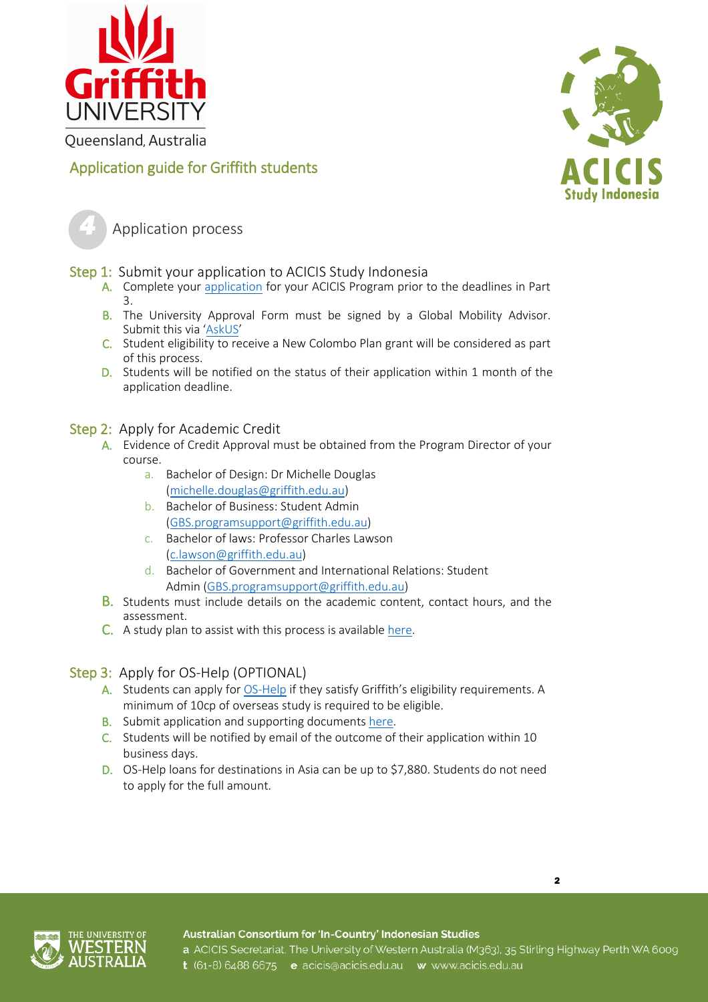



## Application guide for Griffith students



Application process

Step 1: Submit your application to ACICIS Study Indonesia

- A. Complete your [application](http://www.acicis.edu.au/apply-now/) for your ACICIS Program prior to the deadlines in Part 3.
- B. The University Approval Form must be signed by a Global Mobility Advisor. Submit this via ['AskUS'](https://www.griffith.edu.au/international/contact-us)
- C. Student eligibility to receive a New Colombo Plan grant will be considered as part of this process.
- D. Students will be notified on the status of their application within 1 month of the application deadline.

#### Step 2: Apply for Academic Credit

- A. Evidence of Credit Approval must be obtained from the Program Director of your course.
	- a. Bachelor of Design: Dr Michelle Douglas [\(michelle.douglas@griffith.edu.au\)](mailto:michelle.douglas@griffith.edu.au)
	- b. Bachelor of Business: Student Admin [\(GBS.programsupport@griffith.edu.au\)](mailto:GBS.programsupport@griffith.edu.au)
	- c. Bachelor of laws: Professor Charles Lawson [\(c.lawson@griffith.edu.au\)](mailto:c.lawson@griffith.edu.au)
	- d. Bachelor of Government and International Relations: Student Admin [\(GBS.programsupport@griffith.edu.au\)](mailto:GBS.programsupport@griffith.edu.au)
- B. Students must include details on the academic content, contact hours, and the assessment.
- C. A study plan to assist with this process is available [here.](https://www.griffith.edu.au/__data/assets/pdf_file/0018/704412/Short-Term-Study-Plan.pdf)

#### Step 3: Apply for OS-Help (OPTIONAL)

- A. Students can apply for [OS-Help](https://www.griffith.edu.au/international/global-mobility/outbound/financial-information/overseas-higher-education-loan-program) if they satisfy Griffith's eligibility requirements. A minimum of 10cp of overseas study is required to be eligible.
- B. Submit application and supporting documents [here.](https://my.griffith.edu.au/student-centre?scparam=GU_STUDENT.GU_OSH_SSS_APL.GBL?sp=1)
- C. Students will be notified by email of the outcome of their application within 10 business days.
- D. OS-Help loans for destinations in Asia can be up to \$7,880. Students do not need to apply for the full amount.



2